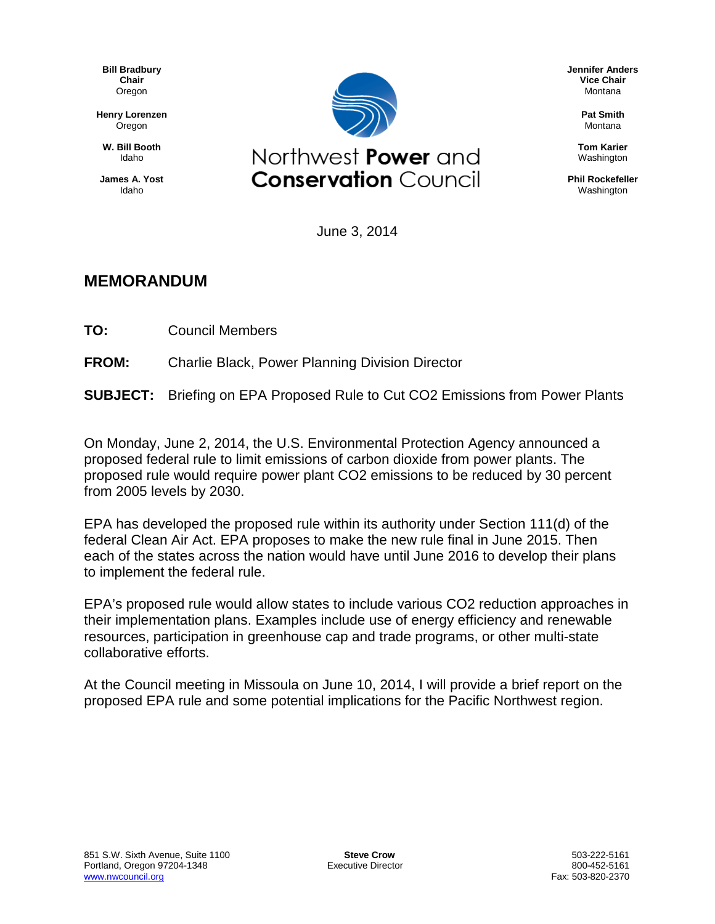**Bill Bradbury Chair** Oregon

**Henry Lorenzen** Oregon

**W. Bill Booth** Idaho

**James A. Yost** Idaho



June 3, 2014

# **MEMORANDUM**

**TO:** Council Members

**FROM:** Charlie Black, Power Planning Division Director

**SUBJECT:** Briefing on EPA Proposed Rule to Cut CO2 Emissions from Power Plants

On Monday, June 2, 2014, the U.S. Environmental Protection Agency announced a proposed federal rule to limit emissions of carbon dioxide from power plants. The proposed rule would require power plant CO2 emissions to be reduced by 30 percent from 2005 levels by 2030.

EPA has developed the proposed rule within its authority under Section 111(d) of the federal Clean Air Act. EPA proposes to make the new rule final in June 2015. Then each of the states across the nation would have until June 2016 to develop their plans to implement the federal rule.

EPA's proposed rule would allow states to include various CO2 reduction approaches in their implementation plans. Examples include use of energy efficiency and renewable resources, participation in greenhouse cap and trade programs, or other multi-state collaborative efforts.

At the Council meeting in Missoula on June 10, 2014, I will provide a brief report on the proposed EPA rule and some potential implications for the Pacific Northwest region.

**Jennifer Anders Vice Chair** Montana

> **Pat Smith** Montana

**Tom Karier** Washington

**Phil Rockefeller** Washington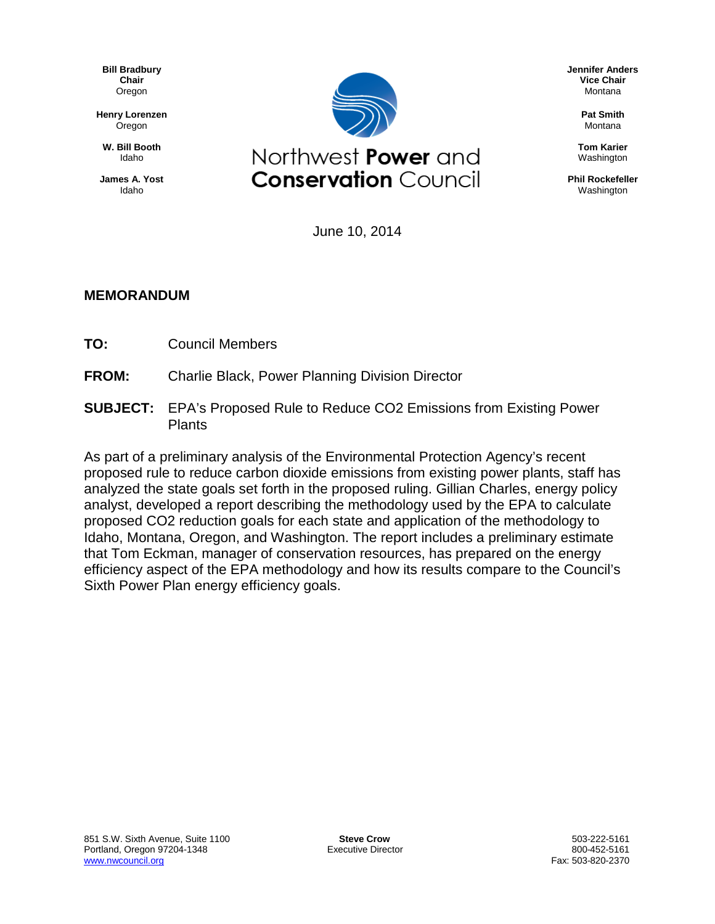**Bill Bradbury Chair** Oregon

**Henry Lorenzen** Oregon

**W. Bill Booth** Idaho

**James A. Yost** Idaho



**Jennifer Anders Vice Chair** Montana

> **Pat Smith** Montana

**Tom Karier** Washington

**Phil Rockefeller** Washington

June 10, 2014

## **MEMORANDUM**

- **TO:** Council Members
- **FROM:** Charlie Black, Power Planning Division Director
- **SUBJECT:** EPA's Proposed Rule to Reduce CO2 Emissions from Existing Power Plants

As part of a preliminary analysis of the Environmental Protection Agency's recent proposed rule to reduce carbon dioxide emissions from existing power plants, staff has analyzed the state goals set forth in the proposed ruling. Gillian Charles, energy policy analyst, developed a report describing the methodology used by the EPA to calculate proposed CO2 reduction goals for each state and application of the methodology to Idaho, Montana, Oregon, and Washington. The report includes a preliminary estimate that Tom Eckman, manager of conservation resources, has prepared on the energy efficiency aspect of the EPA methodology and how its results compare to the Council's Sixth Power Plan energy efficiency goals.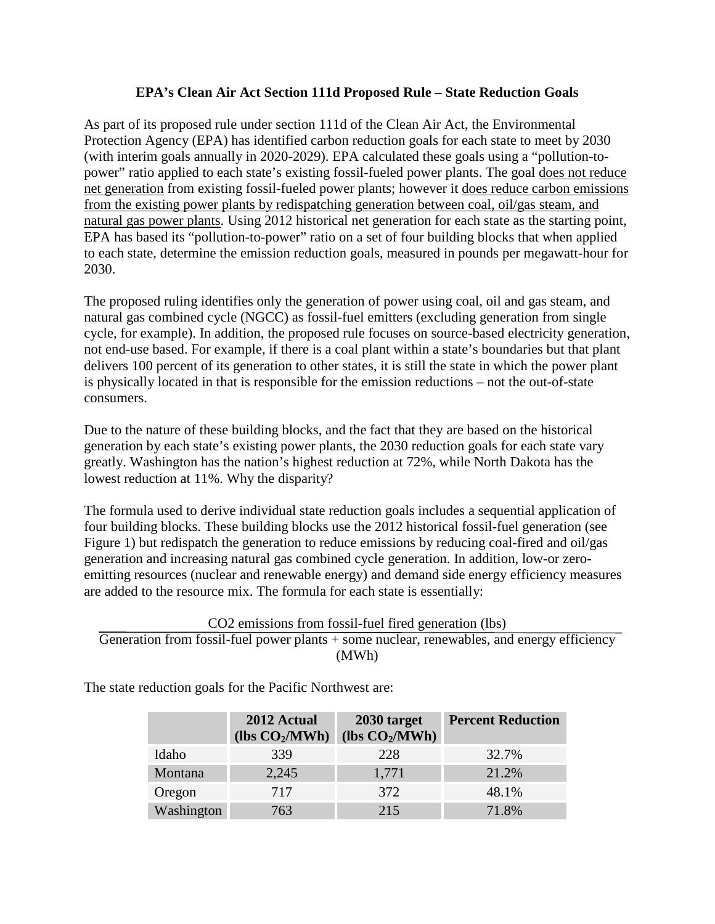## **EPA's Clean Air Act Section 111d Proposed Rule – State Reduction Goals**

As part of its proposed rule under section 111d of the Clean Air Act, the Environmental Protection Agency (EPA) has identified carbon reduction goals for each state to meet by 2030 (with interim goals annually in 2020-2029). EPA calculated these goals using a "pollution-topower" ratio applied to each state's existing fossil-fueled power plants. The goal does not reduce net generation from existing fossil-fueled power plants; however it does reduce carbon emissions from the existing power plants by redispatching generation between coal, oil/gas steam, and natural gas power plants. Using 2012 historical net generation for each state as the starting point, EPA has based its "pollution-to-power" ratio on a set of four building blocks that when applied to each state, determine the emission reduction goals, measured in pounds per megawatt-hour for 2030.

The proposed ruling identifies only the generation of power using coal, oil and gas steam, and natural gas combined cycle (NGCC) as fossil-fuel emitters (excluding generation from single cycle, for example). In addition, the proposed rule focuses on source-based electricity generation, not end-use based. For example, if there is a coal plant within a state's boundaries but that plant delivers 100 percent of its generation to other states, it is still the state in which the power plant is physically located in that is responsible for the emission reductions – not the out-of-state consumers.

Due to the nature of these building blocks, and the fact that they are based on the historical generation by each state's existing power plants, the 2030 reduction goals for each state vary greatly. Washington has the nation's highest reduction at 72%, while North Dakota has the lowest reduction at 11%. Why the disparity?

The formula used to derive individual state reduction goals includes a sequential application of four building blocks. These building blocks use the 2012 historical fossil-fuel generation (see Figure 1) but redispatch the generation to reduce emissions by reducing coal-fired and oil/gas generation and increasing natural gas combined cycle generation. In addition, low-or zeroemitting resources (nuclear and renewable energy) and demand side energy efficiency measures are added to the resource mix. The formula for each state is essentially:

CO2 emissions from fossil-fuel fired generation (lbs) Generation from fossil-fuel power plants + some nuclear, renewables, and energy efficiency (MWh)

The state reduction goals for the Pacific Northwest are:

|            | 2012 Actual<br>(lbs $CO2/MWh$ ) | 2030 target<br>(lbs $CO2/MWh$ ) | <b>Percent Reduction</b> |
|------------|---------------------------------|---------------------------------|--------------------------|
| Idaho      | 339                             | 228                             | 32.7%                    |
| Montana    | 2,245                           | 1,771                           | 21.2%                    |
| Oregon     | 717                             | 372                             | 48.1%                    |
| Washington | 763                             | 215                             | 71.8%                    |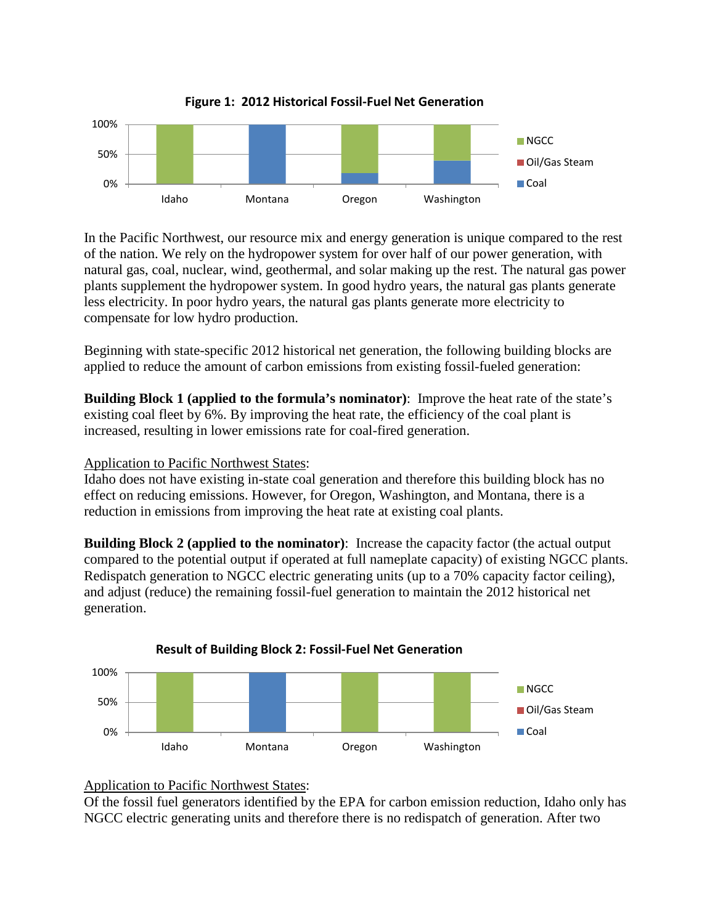

**Figure 1: 2012 Historical Fossil-Fuel Net Generation**

In the Pacific Northwest, our resource mix and energy generation is unique compared to the rest of the nation. We rely on the hydropower system for over half of our power generation, with natural gas, coal, nuclear, wind, geothermal, and solar making up the rest. The natural gas power plants supplement the hydropower system. In good hydro years, the natural gas plants generate less electricity. In poor hydro years, the natural gas plants generate more electricity to compensate for low hydro production.

Beginning with state-specific 2012 historical net generation, the following building blocks are applied to reduce the amount of carbon emissions from existing fossil-fueled generation:

**Building Block 1 (applied to the formula's nominator)**: Improve the heat rate of the state's existing coal fleet by 6%. By improving the heat rate, the efficiency of the coal plant is increased, resulting in lower emissions rate for coal-fired generation.

## Application to Pacific Northwest States:

Idaho does not have existing in-state coal generation and therefore this building block has no effect on reducing emissions. However, for Oregon, Washington, and Montana, there is a reduction in emissions from improving the heat rate at existing coal plants.

**Building Block 2 (applied to the nominator)**: Increase the capacity factor (the actual output compared to the potential output if operated at full nameplate capacity) of existing NGCC plants. Redispatch generation to NGCC electric generating units (up to a 70% capacity factor ceiling), and adjust (reduce) the remaining fossil-fuel generation to maintain the 2012 historical net generation.





#### Application to Pacific Northwest States:

Of the fossil fuel generators identified by the EPA for carbon emission reduction, Idaho only has NGCC electric generating units and therefore there is no redispatch of generation. After two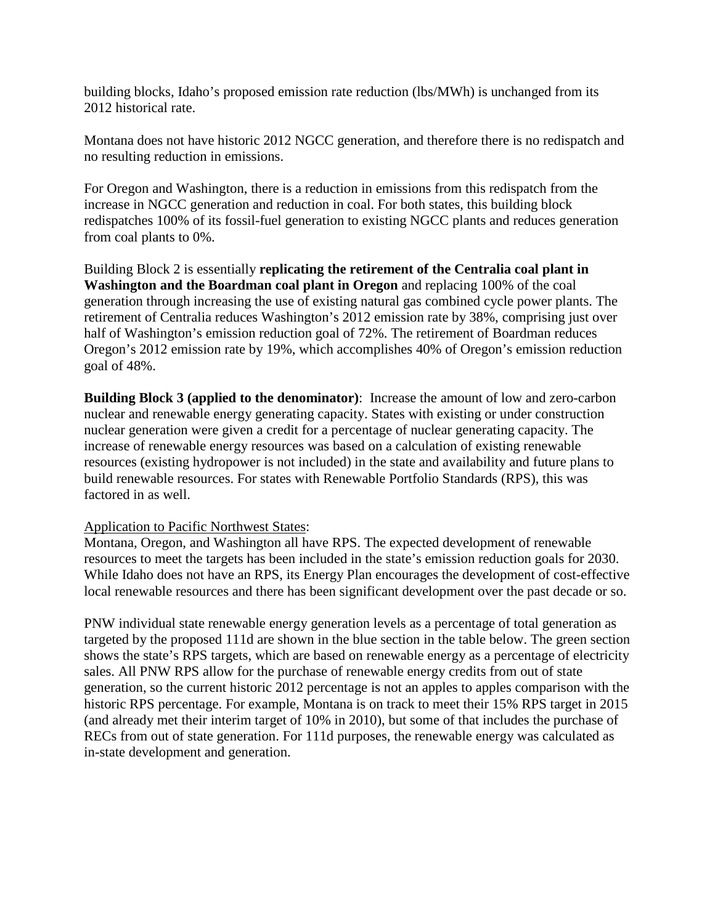building blocks, Idaho's proposed emission rate reduction (lbs/MWh) is unchanged from its 2012 historical rate.

Montana does not have historic 2012 NGCC generation, and therefore there is no redispatch and no resulting reduction in emissions.

For Oregon and Washington, there is a reduction in emissions from this redispatch from the increase in NGCC generation and reduction in coal. For both states, this building block redispatches 100% of its fossil-fuel generation to existing NGCC plants and reduces generation from coal plants to 0%.

Building Block 2 is essentially **replicating the retirement of the Centralia coal plant in Washington and the Boardman coal plant in Oregon** and replacing 100% of the coal generation through increasing the use of existing natural gas combined cycle power plants. The retirement of Centralia reduces Washington's 2012 emission rate by 38%, comprising just over half of Washington's emission reduction goal of 72%. The retirement of Boardman reduces Oregon's 2012 emission rate by 19%, which accomplishes 40% of Oregon's emission reduction goal of 48%.

**Building Block 3 (applied to the denominator)**: Increase the amount of low and zero-carbon nuclear and renewable energy generating capacity. States with existing or under construction nuclear generation were given a credit for a percentage of nuclear generating capacity. The increase of renewable energy resources was based on a calculation of existing renewable resources (existing hydropower is not included) in the state and availability and future plans to build renewable resources. For states with Renewable Portfolio Standards (RPS), this was factored in as well.

#### Application to Pacific Northwest States:

Montana, Oregon, and Washington all have RPS. The expected development of renewable resources to meet the targets has been included in the state's emission reduction goals for 2030. While Idaho does not have an RPS, its Energy Plan encourages the development of cost-effective local renewable resources and there has been significant development over the past decade or so.

PNW individual state renewable energy generation levels as a percentage of total generation as targeted by the proposed 111d are shown in the blue section in the table below. The green section shows the state's RPS targets, which are based on renewable energy as a percentage of electricity sales. All PNW RPS allow for the purchase of renewable energy credits from out of state generation, so the current historic 2012 percentage is not an apples to apples comparison with the historic RPS percentage. For example, Montana is on track to meet their 15% RPS target in 2015 (and already met their interim target of 10% in 2010), but some of that includes the purchase of RECs from out of state generation. For 111d purposes, the renewable energy was calculated as in-state development and generation.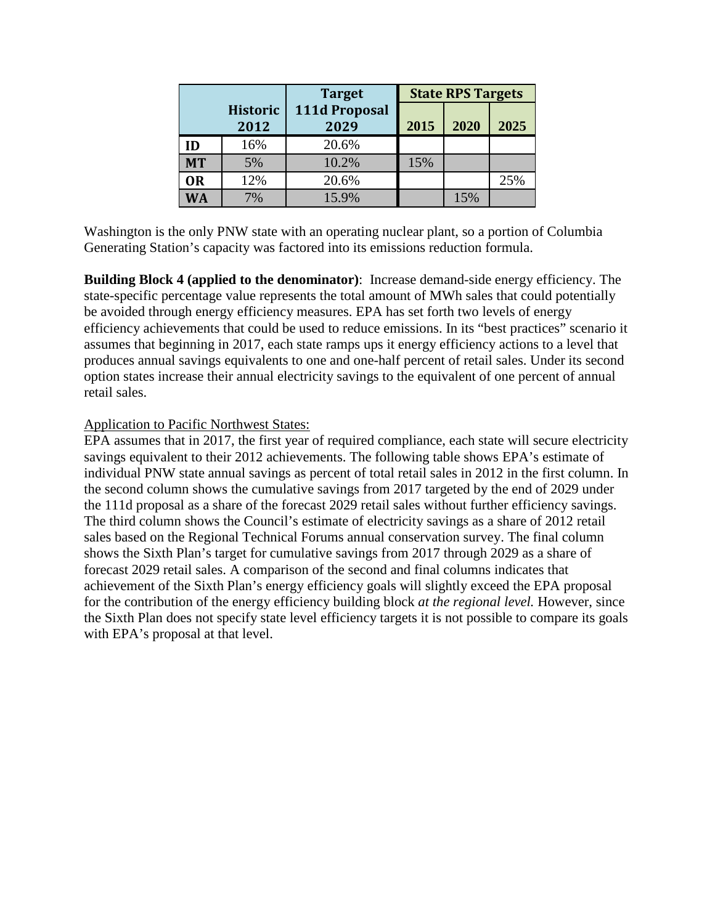|           |                         | <b>Target</b>         |      | <b>State RPS Targets</b> |      |
|-----------|-------------------------|-----------------------|------|--------------------------|------|
|           | <b>Historic</b><br>2012 | 111d Proposal<br>2029 | 2015 | 2020                     | 2025 |
| ID        | 16%                     | 20.6%                 |      |                          |      |
| <b>MT</b> | 5%                      | 10.2%                 | 15%  |                          |      |
| <b>OR</b> | 12%                     | 20.6%                 |      |                          | 25%  |
| <b>WA</b> | 7%                      | 15.9%                 |      | 15%                      |      |

Washington is the only PNW state with an operating nuclear plant, so a portion of Columbia Generating Station's capacity was factored into its emissions reduction formula.

**Building Block 4 (applied to the denominator)**: Increase demand-side energy efficiency. The state-specific percentage value represents the total amount of MWh sales that could potentially be avoided through energy efficiency measures. EPA has set forth two levels of energy efficiency achievements that could be used to reduce emissions. In its "best practices" scenario it assumes that beginning in 2017, each state ramps ups it energy efficiency actions to a level that produces annual savings equivalents to one and one-half percent of retail sales. Under its second option states increase their annual electricity savings to the equivalent of one percent of annual retail sales.

## Application to Pacific Northwest States:

EPA assumes that in 2017, the first year of required compliance, each state will secure electricity savings equivalent to their 2012 achievements. The following table shows EPA's estimate of individual PNW state annual savings as percent of total retail sales in 2012 in the first column. In the second column shows the cumulative savings from 2017 targeted by the end of 2029 under the 111d proposal as a share of the forecast 2029 retail sales without further efficiency savings. The third column shows the Council's estimate of electricity savings as a share of 2012 retail sales based on the Regional Technical Forums annual conservation survey. The final column shows the Sixth Plan's target for cumulative savings from 2017 through 2029 as a share of forecast 2029 retail sales. A comparison of the second and final columns indicates that achievement of the Sixth Plan's energy efficiency goals will slightly exceed the EPA proposal for the contribution of the energy efficiency building block *at the regional level.* However, since the Sixth Plan does not specify state level efficiency targets it is not possible to compare its goals with EPA's proposal at that level.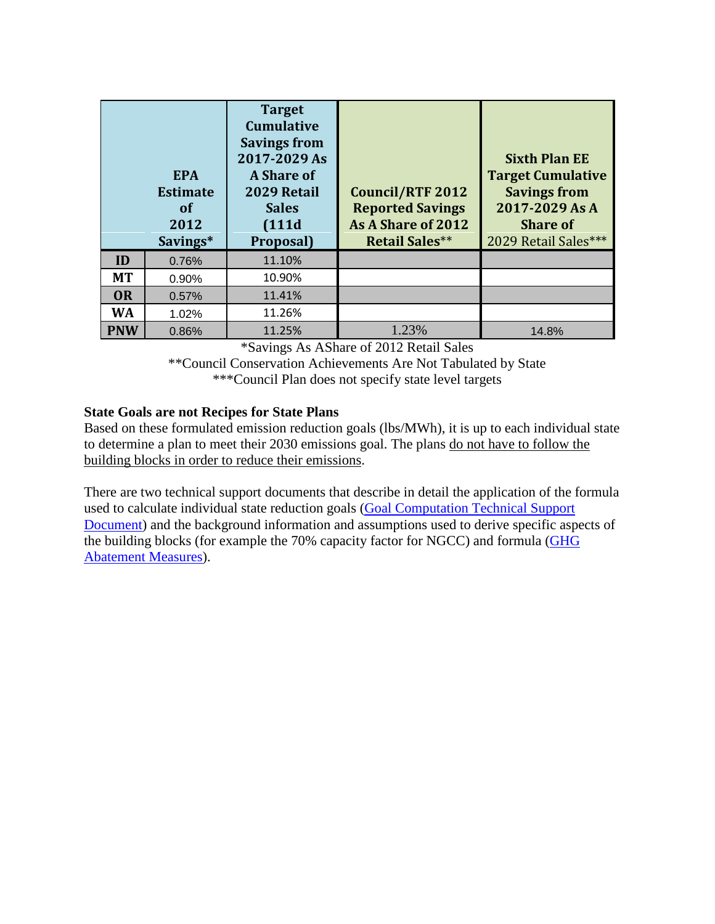|            | <b>EPA</b><br><b>Estimate</b><br><b>of</b><br>2012<br>Savings* | <b>Target</b><br><b>Cumulative</b><br><b>Savings from</b><br>2017-2029 As<br>A Share of<br>2029 Retail<br><b>Sales</b><br>(111d)<br>Proposal) | <b>Council/RTF 2012</b><br><b>Reported Savings</b><br>As A Share of 2012<br><b>Retail Sales**</b> | <b>Sixth Plan EE</b><br><b>Target Cumulative</b><br><b>Savings from</b><br>2017-2029 As A<br><b>Share of</b><br>2029 Retail Sales*** |
|------------|----------------------------------------------------------------|-----------------------------------------------------------------------------------------------------------------------------------------------|---------------------------------------------------------------------------------------------------|--------------------------------------------------------------------------------------------------------------------------------------|
| ID         | 0.76%                                                          | 11.10%                                                                                                                                        |                                                                                                   |                                                                                                                                      |
| <b>MT</b>  | 0.90%                                                          | 10.90%                                                                                                                                        |                                                                                                   |                                                                                                                                      |
| <b>OR</b>  | 0.57%                                                          | 11.41%                                                                                                                                        |                                                                                                   |                                                                                                                                      |
| <b>WA</b>  | 1.02%                                                          | 11.26%                                                                                                                                        |                                                                                                   |                                                                                                                                      |
| <b>PNW</b> | 0.86%                                                          | 11.25%                                                                                                                                        | 1.23%                                                                                             | 14.8%                                                                                                                                |

\*Savings As AShare of 2012 Retail Sales

\*\*Council Conservation Achievements Are Not Tabulated by State \*\*\*Council Plan does not specify state level targets

## **State Goals are not Recipes for State Plans**

Based on these formulated emission reduction goals (lbs/MWh), it is up to each individual state to determine a plan to meet their 2030 emissions goal. The plans do not have to follow the building blocks in order to reduce their emissions.

There are two technical support documents that describe in detail the application of the formula used to calculate individual state reduction goals [\(Goal Computation Technical Support](http://www2.epa.gov/sites/production/files/2014-05/documents/20140602tsd-goal-computation.pdf)  [Document\)](http://www2.epa.gov/sites/production/files/2014-05/documents/20140602tsd-goal-computation.pdf) and the background information and assumptions used to derive specific aspects of the building blocks (for example the 70% capacity factor for NGCC) and formula [\(GHG](http://www2.epa.gov/sites/production/files/2014-05/documents/20140602tsd-ghg-abatement-measures.pdf)  [Abatement Measures\)](http://www2.epa.gov/sites/production/files/2014-05/documents/20140602tsd-ghg-abatement-measures.pdf).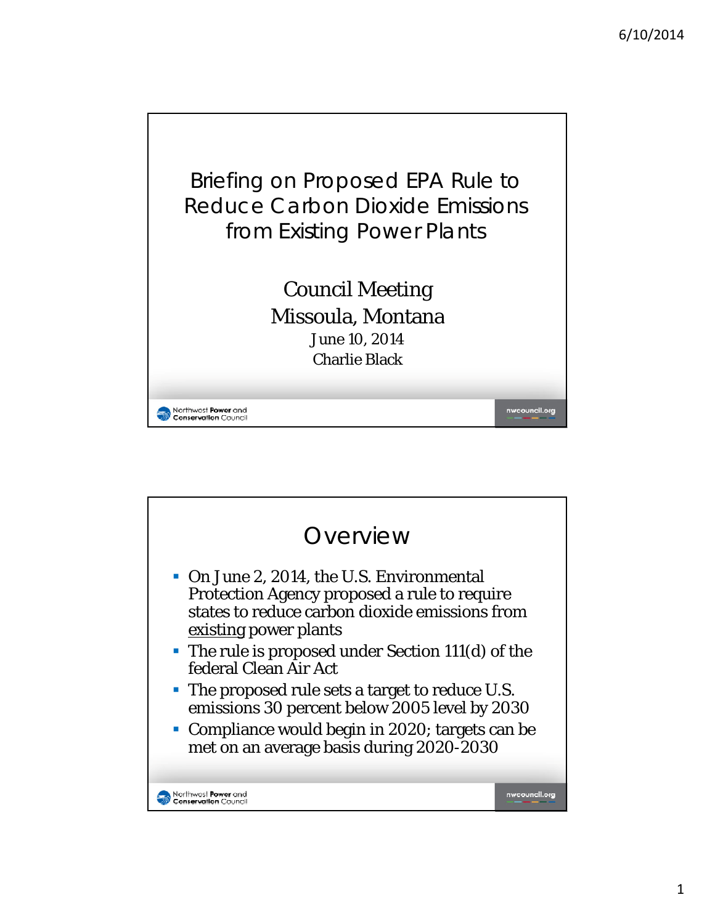

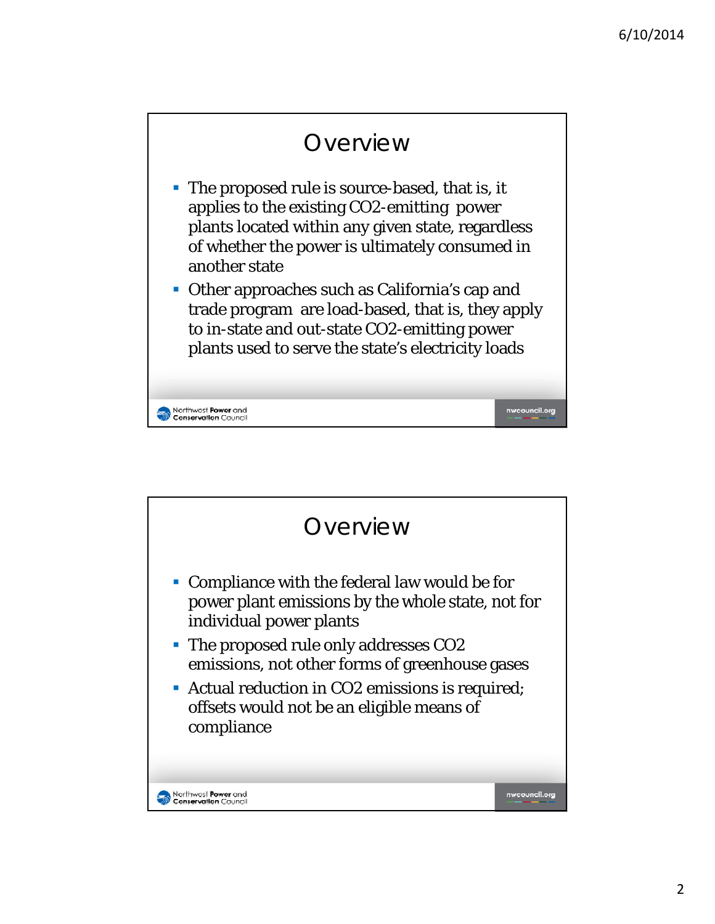

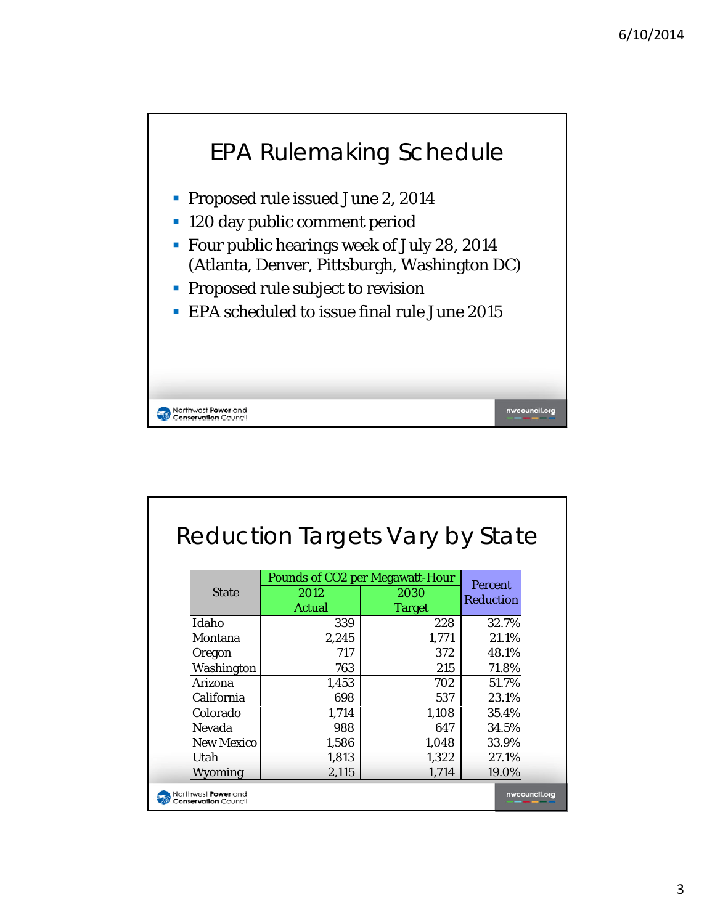

|              | Reduction Targets Vary by State        |               |                |
|--------------|----------------------------------------|---------------|----------------|
|              | <b>Pounds of CO2 per Megawatt-Hour</b> |               |                |
| <b>State</b> | 2012                                   | 2030          | <b>Percent</b> |
|              | <b>Actual</b>                          | <b>Target</b> | Reduction      |
| Idaho        | 339                                    | 228           | 32.7%          |
| Montana      | 2,245                                  | 1,771         | 21.1%          |
| Oregon       | 717                                    | 372           | 48.1%          |
| Washington   | 763                                    | 215           | 71.8%          |
| Arizona      | 1,453                                  | 702           | 51.7%          |
| California   | 698                                    | 537           | 23.1%          |
| Colorado     | 1,714                                  | 1,108         | 35.4%          |
| Nevada       | 988                                    | 647           | 34.5%          |
| New Mexico   | 1,586                                  | 1,048         | 33.9%          |
| Utah         | 1,813                                  | 1,322         | 27.1%          |
| Wyoming      | 2,115                                  | 1,714         | 19.0%          |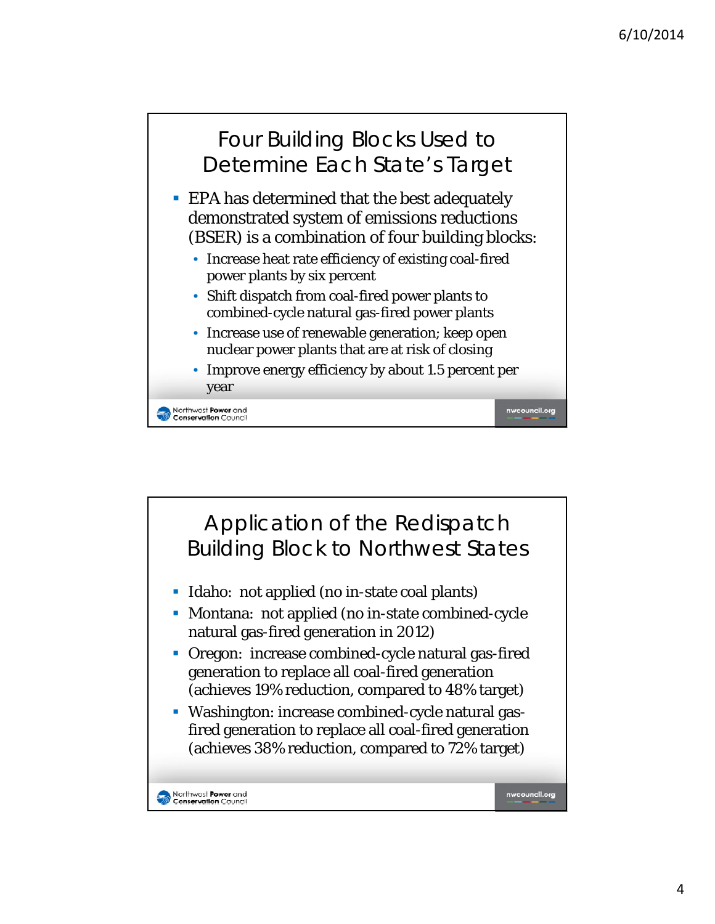



4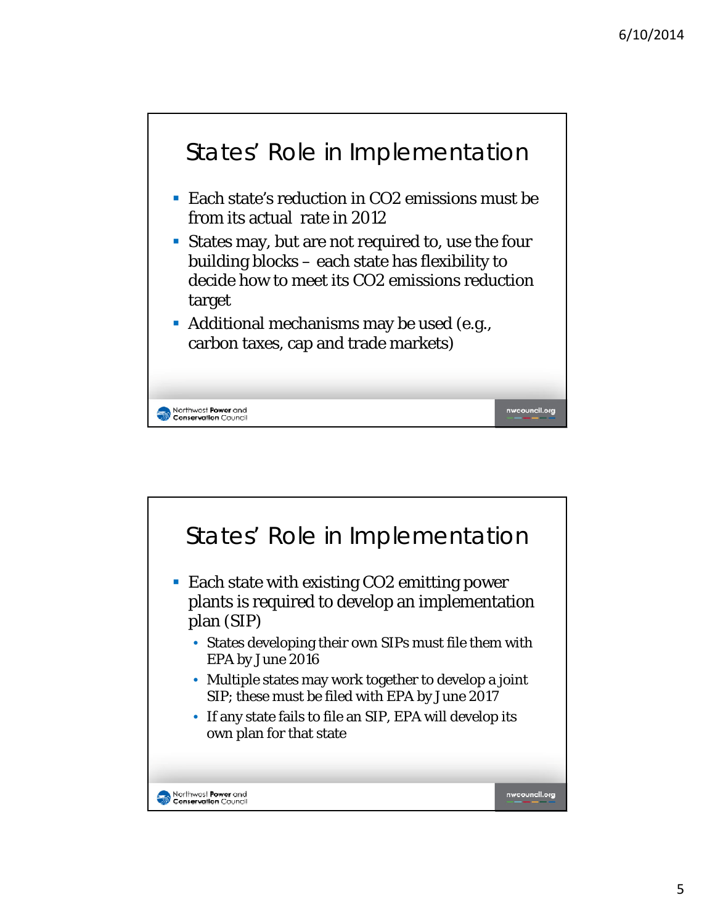